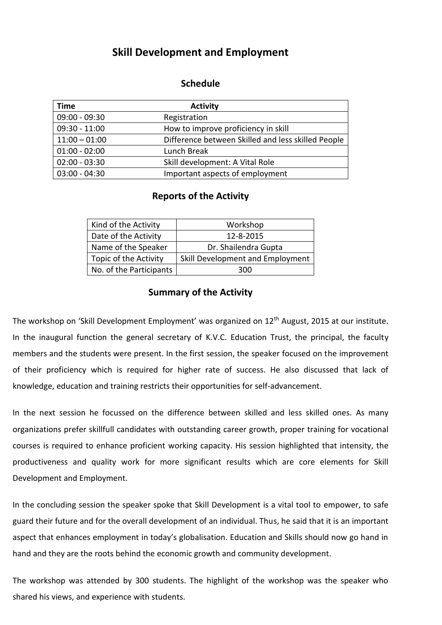## **Skill Development and Employment**

## **Schedule**

| <b>Time</b>     | <b>Activity</b>                                    |
|-----------------|----------------------------------------------------|
| 09:00 - 09:30   | Registration                                       |
| $09:30 - 11:00$ | How to improve proficiency in skill                |
| $11:00 - 01:00$ | Difference between Skilled and less skilled People |
| $01:00 - 02:00$ | Lunch Break                                        |
| $02:00 - 03:30$ | Skill development: A Vital Role                    |
| $03:00 - 04:30$ | Important aspects of employment                    |

## **Reports of the Activity**

| Kind of the Activity    | Workshop                         |
|-------------------------|----------------------------------|
| Date of the Activity    | 12-8-2015                        |
| Name of the Speaker     | Dr. Shailendra Gupta             |
| Topic of the Activity   | Skill Development and Employment |
| No. of the Participants | 300                              |

## **Summary of the Activity**

The workshop on 'Skill Development Employment' was organized on 12<sup>th</sup> August, 2015 at our institute. In the inaugural function the general secretary of K.V.C. Education Trust, the principal, the faculty members and the students were present. In the first session, the speaker focused on the improvement of their proficiency which is required for higher rate of success. He also discussed that lack of knowledge, education and training restricts their opportunities for self-advancement.

In the next session he focussed on the difference between skilled and less skilled ones. As many organizations prefer skillfull candidates with outstanding career growth, proper training for vocational courses is required to enhance proficient working capacity. His session highlighted that intensity, the productiveness and quality work for more significant results which are core elements for Skill Development and Employment.

In the concluding session the speaker spoke that Skill Development is a vital tool to empower, to safe guard their future and for the overall development of an individual. Thus, he said that it is an important aspect that enhances employment in today's globalisation. Education and Skills should now go hand in hand and they are the roots behind the economic growth and community development.

The workshop was attended by 300 students. The highlight of the workshop was the speaker who shared his views, and experience with students.